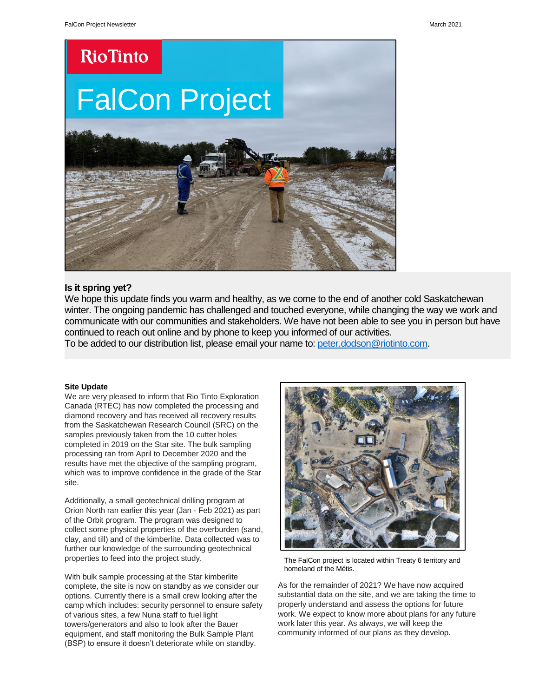### **RioTinto**

## FalCon Project



#### **Is it spring yet?**

We hope this update finds you warm and healthy, as we come to the end of another cold Saskatchewan winter. The ongoing pandemic has challenged and touched everyone, while changing the way we work and communicate with our communities and stakeholders. We have not been able to see you in person but have continued to reach out online and by phone to keep you informed of our activities.

To be added to our distribution list, please email your name to: [peter.dodson@riotinto.com.](mailto:peter.dodson@riotinto.com)

#### **Site Update**

We are very pleased to inform that Rio Tinto Exploration Canada (RTEC) has now completed the processing and diamond recovery and has received all recovery results from the Saskatchewan Research Council (SRC) on the samples previously taken from the 10 cutter holes completed in 2019 on the Star site. The bulk sampling processing ran from April to December 2020 and the results have met the objective of the sampling program, which was to improve confidence in the grade of the Star site.

Additionally, a small geotechnical drilling program at Orion North ran earlier this year (Jan - Feb 2021) as part of the Orbit program. The program was designed to collect some physical properties of the overburden (sand, clay, and till) and of the kimberlite. Data collected was to further our knowledge of the surrounding geotechnical properties to feed into the project study.

With bulk sample processing at the Star kimberlite complete, the site is now on standby as we consider our options. Currently there is a small crew looking after the camp which includes: security personnel to ensure safety of various sites, a few Nuna staff to fuel light towers/generators and also to look after the Bauer equipment, and staff monitoring the Bulk Sample Plant (BSP) to ensure it doesn't deteriorate while on standby.



The FalCon project is located within Treaty 6 territory and homeland of the Métis.

As for the remainder of 2021? We have now acquired substantial data on the site, and we are taking the time to properly understand and assess the options for future work. We expect to know more about plans for any future work later this year. As always, we will keep the community informed of our plans as they develop.